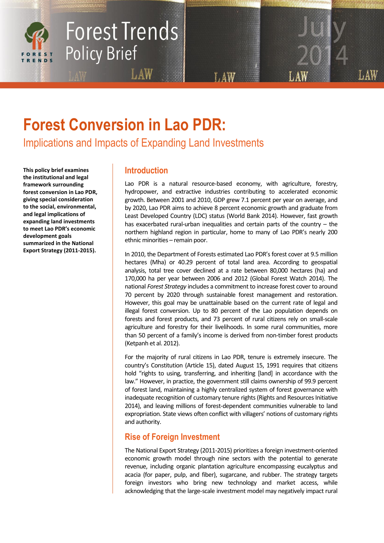

# Forest Trends **Policy Brief**

## **Forest Conversion in Lao PDR:**

Implications and Impacts of Expanding Land Investments

LAW

**This policy brief examines the institutional and legal framework surrounding forest conversion in Lao PDR, giving special consideration to the social, environmental, and legal implications of expanding land investments to meet Lao PDR's economic development goals summarized in the National Export Strategy (2011-2015).**

## **Introduction**

Lao PDR is a natural resource-based economy, with agriculture, forestry, hydropower, and extractive industries contributing to accelerated economic growth. Between 2001 and 2010, GDP grew 7.1 percent per year on average, and by 2020, Lao PDR aims to achieve 8 percent economic growth and graduate from Least Developed Country (LDC) status (World Bank 2014). However, fast growth has exacerbated rural-urban inequalities and certain parts of the country – the northern highland region in particular, home to many of Lao PDR's nearly 200 ethnic minorities – remain poor.

In 2010, the Department of Forests estimated Lao PDR's forest cover at 9.5 million hectares (Mha) or 40.29 percent of total land area. According to geospatial analysis, total tree cover declined at a rate between 80,000 hectares (ha) and 170,000 ha per year between 2006 and 2012 (Global Forest Watch 2014). The national *Forest Strategy* includes a commitment to increase forest cover to around 70 percent by 2020 through sustainable forest management and restoration. However, this goal may be unattainable based on the current rate of legal and illegal forest conversion. Up to 80 percent of the Lao population depends on forests and forest products, and 73 percent of rural citizens rely on small-scale agriculture and forestry for their livelihoods. In some rural communities, more than 50 percent of a family's income is derived from non-timber forest products (Ketpanh et al. 2012).

For the majority of rural citizens in Lao PDR, tenure is extremely insecure. The country's Constitution (Article 15), dated August 15, 1991 requires that citizens hold "rights to using, transferring, and inheriting [land] in accordance with the law." However, in practice, the government still claims ownership of 99.9 percent of forest land, maintaining a highly centralized system of forest governance with inadequate recognition of customary tenure rights (Rights and Resources Initiative 2014), and leaving millions of forest-dependent communities vulnerable to land expropriation. State views often conflict with villagers' notions of customary rights and authority.

## **Rise of Foreign Investment**

The National Export Strategy (2011-2015) prioritizes a foreign investment-oriented economic growth model through nine sectors with the potential to generate revenue, including organic plantation agriculture encompassing eucalyptus and acacia (for paper, pulp, and fiber), sugarcane, and rubber. The strategy targets foreign investors who bring new technology and market access, while acknowledging that the large-scale investment model may negatively impact rural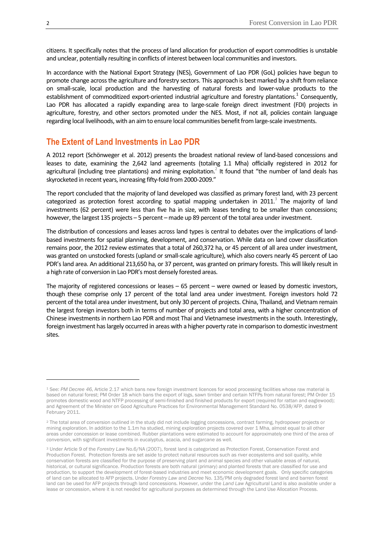citizens. It specifically notes that the process of land allocation for production of export commodities is unstable and unclear, potentially resulting in conflicts of interest between local communities and investors.

In accordance with the National Export Strategy (NES), Government of Lao PDR (GoL) policies have begun to promote change across the agriculture and forestry sectors. This approach is best marked by a shift from reliance on small-scale, local production and the harvesting of natural forests and lower-value products to the establishment of commoditized export-oriented industrial agriculture and forestry plantations.<sup>1</sup> Consequently, Lao PDR has allocated a rapidly expanding area to large-scale foreign direct investment (FDI) projects in agriculture, forestry, and other sectors promoted under the NES. Most, if not all, policies contain language regarding local livelihoods, with an aim to ensure local communities benefit from large-scale investments.

## **The Extent of Land Investments in Lao PDR**

A 2012 report (Schönweger et al. 2012) presents the broadest national review of land-based concessions and leases to date, examining the 2,642 land agreements (totaling 1.1 Mha) officially registered in 2012 for agricultural (including tree plantations) and mining exploitation.<sup>2</sup> It found that "the number of land deals has skyrocketed in recent years, increasing fifty-fold from 2000-2009."

The report concluded that the majority of land developed was classified as primary forest land, with 23 percent categorized as protection forest according to spatial mapping undertaken in 2011.<sup>3</sup> The majority of land investments (62 percent) were less than five ha in size, with leases tending to be smaller than concessions; however, the largest 135 projects – 5 percent – made up 89 percent of the total area under investment.

The distribution of concessions and leases across land types is central to debates over the implications of landbased investments for spatial planning, development, and conservation. While data on land cover classification remains poor, the 2012 review estimates that a total of 260,372 ha, or 45 percent of all area under investment, was granted on unstocked forests (upland or small-scale agriculture), which also covers nearly 45 percent of Lao PDR's land area. An additional 213,650 ha, or 37 percent, was granted on primary forests. This will likely result in a high rate of conversion in Lao PDR's most densely forested areas.

The majority of registered concessions or leases – 65 percent – were owned or leased by domestic investors, though these comprise only 17 percent of the total land area under investment. Foreign investors hold 72 percent of the total area under investment, but only 30 percent of projects. China, Thailand, and Vietnam remain the largest foreign investors both in terms of number of projects and total area, with a higher concentration of Chinese investments in northern Lao PDR and most Thai and Vietnamese investments in the south. Interestingly, foreign investment has largely occurred in areas with a higher poverty rate in comparison to domestic investment sites.

1

<sup>1</sup> See: *PM Decree 46*, Article 2.17 which bans new foreign investment licences for wood processing facilities whose raw material is based on natural forest; PM Order 18 which bans the export of logs, sawn timber and certain NTFPs from natural forest; PM Order 15 promotes domestic wood and NTFP processing of semi-finished and finished products for export (required for rattan and eaglewood); and Agreement of the Minister on Good Agriculture Practices for Environmental Management Standard No. 0538/AFP, dated 9 February 2011.

<sup>&</sup>lt;sup>2</sup> The total area of conversion outlined in the study did not include logging concessions, contract farming, hydropower projects or mining exploration. In addition to the 1.1m ha studied, mining exploration projects covered over 1 Mha, almost equal to all other areas under concession or lease combined. Rubber plantations were estimated to account for approximately one third of the area of conversion, with significant investments in eucalyptus, acacia, and sugarcane as well.

<sup>3</sup> Under Article 9 of the *Forestry Law* No.6/NA (2007), forest land is categorized as Protection Forest, Conservation Forest and Production Forest. Protection forests are set aside to protect natural resources such as river ecosystems and soil quality, while conservation forests are classified for the purpose of preserving plant and animal species and other valuable areas of natural, historical, or cultural significance. Production forests are both natural (primary) and planted forests that are classified for use and production, to support the development of forest-based industries and meet economic development goals. Only specific categories of land can be allocated to AFP projects. Under *Forestry Law* and *Decree* No. 135/PM only degraded forest land and barren forest land can be used for AFP projects through land concessions. However, under the *Land Law* Agricultural Land is also available under a lease or concession, where it is not needed for agricultural purposes as determined through the Land Use Allocation Process.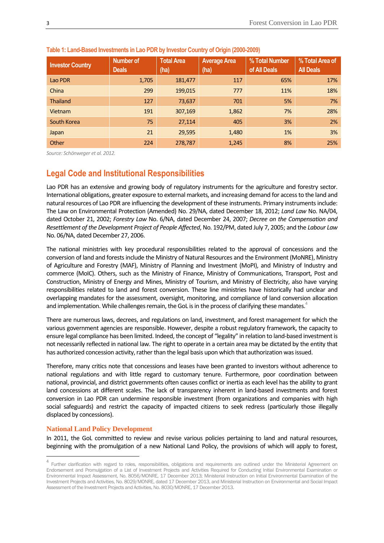| <b>Investor Country</b> | <b>Number of</b><br><b>Deals</b> | <b>Total Area</b><br>(ha) | <b>Average Area</b><br>(ha) | % Total Number<br>of All Deals | % Total Area of<br><b>All Deals</b> |
|-------------------------|----------------------------------|---------------------------|-----------------------------|--------------------------------|-------------------------------------|
| Lao PDR                 | 1,705                            | 181,477                   | 117                         | 65%                            | 17%                                 |
| China                   | 299                              | 199,015                   | 777                         | 11%                            | 18%                                 |
| <b>Thailand</b>         | 127                              | 73,637                    | 701                         | 5%                             | 7%                                  |
| Vietnam                 | 191                              | 307,169                   | 1,862                       | 7%                             | 28%                                 |
| South Korea             | 75                               | 27,114                    | 405                         | 3%                             | 2%                                  |
| Japan                   | 21                               | 29,595                    | 1,480                       | 1%                             | 3%                                  |
| Other                   | 224                              | 278,787                   | 1,245                       | 8%                             | 25%                                 |

#### **Table 1: Land-Based Investments in Lao PDR by Investor Country of Origin (2000-2009)**

*Source: Schönweger et al. 2012.*

## **Legal Code and Institutional Responsibilities**

Lao PDR has an extensive and growing body of regulatory instruments for the agriculture and forestry sector. International obligations, greater exposure to external markets, and increasing demand for access to the land and natural resources of Lao PDR are influencing the development of these instruments. Primary instruments include: The Law on Environmental Protection (Amended) No. 29/NA, dated December 18, 2012; *Land Law* No. NA/04, dated October 21, 2002; *Forestry Law* No. 6/NA, dated December 24, 2007; *Decree on the Compensation and Resettlement of the Development Project of People Affected*, No. 192/PM, dated July 7, 2005; and the *Labour Law* No. 06/NA, dated December 27, 2006.

The national ministries with key procedural responsibilities related to the approval of concessions and the conversion of land and forests include the Ministry of Natural Resources and the Environment (MoNRE), Ministry of Agriculture and Forestry (MAF), Ministry of Planning and Investment (MoPI), and Ministry of Industry and commerce (MoIC). Others, such as the Ministry of Finance, Ministry of Communications, Transport, Post and Construction, Ministry of Energy and Mines, Ministry of Tourism, and Ministry of Electricity, also have varying responsibilities related to land and forest conversion. These line ministries have historically had unclear and overlapping mandates for the assessment, oversight, monitoring, and compliance of land conversion allocation and implementation. While challenges remain, the GoL is in the process of clarifying these mandates.<sup>4</sup>

There are numerous laws, decrees, and regulations on land, investment, and forest management for which the various government agencies are responsible. However, despite a robust regulatory framework, the capacity to ensure legal compliance has been limited. Indeed, the concept of "legality" in relation to land-based investment is not necessarily reflected in national law. The right to operate in a certain area may be dictated by the entity that has authorized concession activity, rather than the legal basis upon which that authorization was issued.

Therefore, many critics note that concessions and leases have been granted to investors without adherence to national regulations and with little regard to customary tenure. Furthermore, poor coordination between national, provincial, and district governments often causes conflict or inertia as each level has the ability to grant land concessions at different scales. The lack of transparency inherent in land-based investments and forest conversion in Lao PDR can undermine responsible investment (from organizations and companies with high social safeguards) and restrict the capacity of impacted citizens to seek redress (particularly those illegally displaced by concessions).

#### **National Land Policy Development**

**.** 

In 2011, the GoL committed to review and revise various policies pertaining to land and natural resources, beginning with the promulgation of a new National Land Policy, the provisions of which will apply to forest,

<sup>&</sup>lt;sup>4</sup> Further clarification with regard to roles, responsibilities, obligations and requirements are outlined under the Ministerial Agreement on Endorsement and Promulgation of a List of Investment Projects and Activities Required for Conducting Initial Environmental Examination or Environmental Impact Assessment, No. 8056/MONRE, 17 December 2013; Ministerial Instruction on Initial Environmental Examination of the Investment Projects and Activities, No. 8029/MONRE, dated 17 December 2013, and Ministerial Instruction on Environmental and Social Impact Assessment of the Investment Projects and Activities, No. 8030/MONRE, 17 December 2013.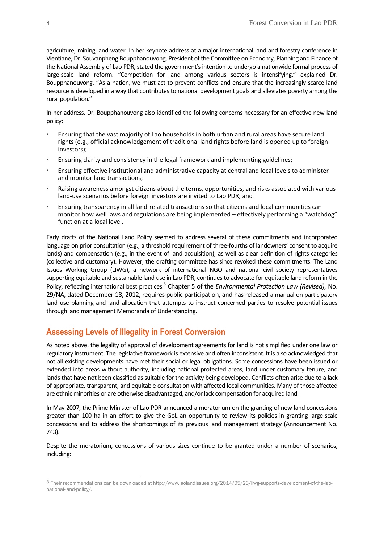agriculture, mining, and water. In her keynote address at a major international land and forestry conference in Vientiane, Dr. Souvanpheng Boupphanouvong, President of the Committee on Economy, Planning and Finance of the National Assembly of Lao PDR, stated the government's intention to undergo a nationwide formal process of large-scale land reform. "Competition for land among various sectors is intensifying," explained Dr. Boupphanouvong. "As a nation, we must act to prevent conflicts and ensure that the increasingly scarce land resource is developed in a way that contributes to national development goals and alleviates poverty among the rural population."

In her address, Dr. Boupphanouvong also identified the following concerns necessary for an effective new land policy:

- Ensuring that the vast majority of Lao households in both urban and rural areas have secure land rights (e.g., official acknowledgement of traditional land rights before land is opened up to foreign investors);
- Ensuring clarity and consistency in the legal framework and implementing guidelines;
- Ensuring effective institutional and administrative capacity at central and local levels to administer and monitor land transactions;
- Raising awareness amongst citizens about the terms, opportunities, and risks associated with various land-use scenarios before foreign investors are invited to Lao PDR; and
- Ensuring transparency in all land-related transactions so that citizens and local communities can monitor how well laws and regulations are being implemented – effectively performing a "watchdog" function at a local level.

Early drafts of the National Land Policy seemed to address several of these commitments and incorporated language on prior consultation (e.g., a threshold requirement of three-fourths of landowners' consent to acquire lands) and compensation (e.g., in the event of land acquisition), as well as clear definition of rights categories (collective and customary). However, the drafting committee has since revoked these commitments. The Land Issues Working Group (LIWG), a network of international NGO and national civil society representatives supporting equitable and sustainable land use in Lao PDR, continues to advocate for equitable land reform in the Policy, reflecting international best practices.<sup>5</sup> Chapter 5 of the *Environmental Protection Law (Revised)*, No. 29/NA, dated December 18, 2012, requires public participation, and has released a manual on participatory land use planning and land allocation that attempts to instruct concerned parties to resolve potential issues through land management Memoranda of Understanding.

## **Assessing Levels of Illegality in Forest Conversion**

As noted above, the legality of approval of development agreements for land is not simplified under one law or regulatory instrument. The legislative framework is extensive and often inconsistent. It is also acknowledged that not all existing developments have met their social or legal obligations. Some concessions have been issued or extended into areas without authority, including national protected areas, land under customary tenure, and lands that have not been classified as suitable for the activity being developed. Conflicts often arise due to a lack of appropriate, transparent, and equitable consultation with affected local communities. Many of those affected are ethnic minorities or are otherwise disadvantaged, and/or lack compensation for acquired land.

In May 2007, the Prime Minister of Lao PDR announced a moratorium on the granting of new land concessions greater than 100 ha in an effort to give the GoL an opportunity to review its policies in granting large-scale concessions and to address the shortcomings of its previous land management strategy (Announcement No. 743).

Despite the moratorium, concessions of various sizes continue to be granted under a number of scenarios, including:

**.** 

<sup>5</sup> Their recommendations can be downloaded a[t http://www.laolandissues.org/2014/05/23/liwg-supports-development-of-the-lao](http://www.laolandissues.org/2014/05/23/liwg-supports-development-of-the-lao-national-land-policy/)[national-land-policy/.](http://www.laolandissues.org/2014/05/23/liwg-supports-development-of-the-lao-national-land-policy/)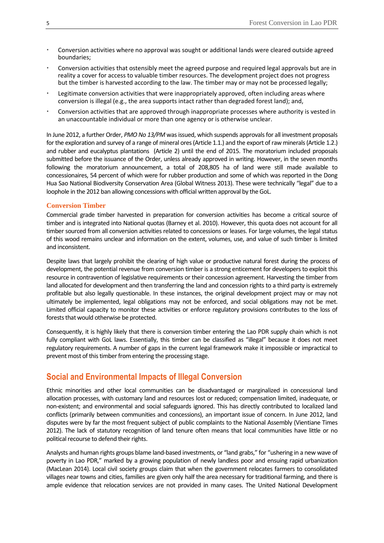- Conversion activities where no approval was sought or additional lands were cleared outside agreed boundaries;
- Conversion activities that ostensibly meet the agreed purpose and required legal approvals but are in reality a cover for access to valuable timber resources. The development project does not progress but the timber is harvested according to the law. The timber may or may not be processed legally;
- Legitimate conversion activities that were inappropriately approved, often including areas where conversion is illegal (e.g., the area supports intact rather than degraded forest land); and,
- Conversion activities that are approved through inappropriate processes where authority is vested in an unaccountable individual or more than one agency or is otherwise unclear.

In June 2012, a further Order, *PMO No 13/PM* was issued, which suspends approvals for all investment proposals for the exploration and survey of a range of mineral ores (Article 1.1.) and the export of raw minerals(Article 1.2.) and rubber and eucalyptus plantations (Article 2) until the end of 2015. The moratorium included proposals submitted before the issuance of the Order, unless already approved in writing. However, in the seven months following the moratorium announcement, a total of 208,805 ha of land were still made available to concessionaires, 54 percent of which were for rubber production and some of which was reported in the Dong Hua Sao National Biodiversity Conservation Area (Global Witness 2013). These were technically "legal" due to a loophole in the 2012 ban allowing concessions with official written approval by the GoL.

#### **Conversion Timber**

Commercial grade timber harvested in preparation for conversion activities has become a critical source of timber and is integrated into National quotas (Barney et al. 2010). However, this quota does not account for all timber sourced from all conversion activities related to concessions or leases. For large volumes, the legal status of this wood remains unclear and information on the extent, volumes, use, and value of such timber is limited and inconsistent.

Despite laws that largely prohibit the clearing of high value or productive natural forest during the process of development, the potential revenue from conversion timber is a strong enticement for developers to exploit this resource in contravention of legislative requirements or their concession agreement. Harvesting the timber from land allocated for development and then transferring the land and concession rights to a third party is extremely profitable but also legally questionable. In these instances, the original development project may or may not ultimately be implemented, legal obligations may not be enforced, and social obligations may not be met. Limited official capacity to monitor these activities or enforce regulatory provisions contributes to the loss of forests that would otherwise be protected.

Consequently, it is highly likely that there is conversion timber entering the Lao PDR supply chain which is not fully compliant with GoL laws. Essentially, this timber can be classified as "illegal" because it does not meet regulatory requirements. A number of gaps in the current legal framework make it impossible or impractical to prevent most of this timber from entering the processing stage.

## **Social and Environmental Impacts of Illegal Conversion**

Ethnic minorities and other local communities can be disadvantaged or marginalized in concessional land allocation processes, with customary land and resources lost or reduced; compensation limited, inadequate, or non-existent; and environmental and social safeguards ignored. This has directly contributed to localized land conflicts (primarily between communities and concessions), an important issue of concern. In June 2012, land disputes were by far the most frequent subject of public complaints to the National Assembly (Vientiane Times 2012). The lack of statutory recognition of land tenure often means that local communities have little or no political recourse to defend their rights.

Analysts and human rights groups blame land-based investments, or "land grabs," for "ushering in a new wave of poverty in Lao PDR," marked by a growing population of newly landless poor and ensuing rapid urbanization (MacLean 2014). Local civil society groups claim that when the government relocates farmers to consolidated villages near towns and cities, families are given only half the area necessary for traditional farming, and there is ample evidence that relocation services are not provided in many cases. The United National Development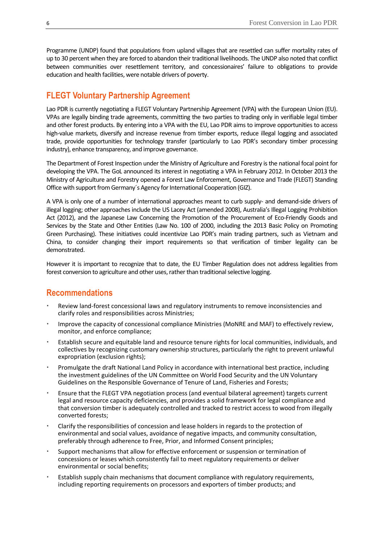Programme (UNDP) found that populations from upland villagesthat are resettled can suffer mortality rates of up to 30 percent when they are forced to abandon their traditional livelihoods. The UNDP also noted that conflict between communities over resettlement territory, and concessionaires' failure to obligations to provide education and health facilities, were notable drivers of poverty.

## **FLEGT Voluntary Partnership Agreement**

Lao PDR is currently negotiating a FLEGT Voluntary Partnership Agreement (VPA) with the European Union (EU). VPAs are legally binding trade agreements, committing the two parties to trading only in verifiable legal timber and other forest products. By entering into a VPA with the EU, Lao PDR aims to improve opportunities to access high-value markets, diversify and increase revenue from timber exports, reduce illegal logging and associated trade, provide opportunities for technology transfer (particularly to Lao PDR's secondary timber processing industry), enhance transparency, and improve governance.

The Department of Forest Inspection under the Ministry of Agriculture and Forestry is the national focal point for developing the VPA. The GoL announced its interest in negotiating a VPA in February 2012. In October 2013 the Ministry of Agriculture and Forestry opened a Forest Law Enforcement, Governance and Trade (FLEGT) Standing Office with support from Germany´s Agency for International Cooperation (GIZ).

A VPA is only one of a number of international approaches meant to curb supply- and demand-side drivers of illegal logging; other approaches include the US Lacey Act (amended 2008), Australia's Illegal Logging Prohibition Act (2012), and the Japanese Law Concerning the Promotion of the Procurement of Eco-Friendly Goods and Services by the State and Other Entities (Law No. 100 of 2000, including the 2013 Basic Policy on Promoting Green Purchasing). These initiatives could incentivize Lao PDR's main trading partners, such as Vietnam and China, to consider changing their import requirements so that verification of timber legality can be demonstrated.

However it is important to recognize that to date, the EU Timber Regulation does not address legalities from forest conversion to agriculture and other uses, rather than traditional selective logging.

## **Recommendations**

- Review land-forest concessional laws and regulatory instruments to remove inconsistencies and clarify roles and responsibilities across Ministries;
- Improve the capacity of concessional compliance Ministries (MoNRE and MAF) to effectively review, monitor, and enforce compliance;
- Establish secure and equitable land and resource tenure rights for local communities, individuals, and collectives by recognizing customary ownership structures, particularly the right to prevent unlawful expropriation (exclusion rights);
- Promulgate the draft National Land Policy in accordance with international best practice, including the investment guidelines of the UN Committee on World Food Security and the UN Voluntary Guidelines on the Responsible Governance of Tenure of Land, Fisheries and Forests;
- Ensure that the FLEGT VPA negotiation process (and eventual bilateral agreement) targets current legal and resource capacity deficiencies, and provides a solid framework for legal compliance and that conversion timber is adequately controlled and tracked to restrict access to wood from illegally converted forests;
- Clarify the responsibilities of concession and lease holders in regards to the protection of environmental and social values, avoidance of negative impacts, and community consultation, preferably through adherence to Free, Prior, and Informed Consent principles;
- Support mechanisms that allow for effective enforcement or suspension or termination of concessions or leases which consistently fail to meet regulatory requirements or deliver environmental or social benefits;
- Establish supply chain mechanisms that document compliance with regulatory requirements, including reporting requirements on processors and exporters of timber products; and